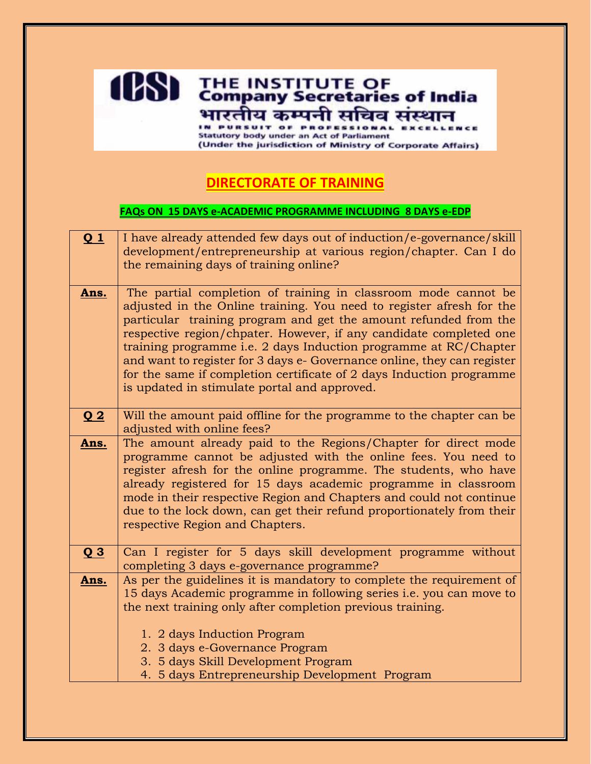## **1081** THE INSTITUTE OF **India** भारतीय कम्पनी सचिव संस्थान **Statutory body under an Act of Parliament**

(Under the jurisdiction of Ministry of Corporate Affairs)

## **DIRECTORATE OF TRAINING**

## **FAQs ON 15 DAYS e-ACADEMIC PROGRAMME INCLUDING 8 DAYS e-EDP**

| $Q_1$          | I have already attended few days out of induction/e-governance/skill<br>development/entrepreneurship at various region/chapter. Can I do<br>the remaining days of training online?                                                                                                                                                                                                                                                                                                                                                                      |
|----------------|---------------------------------------------------------------------------------------------------------------------------------------------------------------------------------------------------------------------------------------------------------------------------------------------------------------------------------------------------------------------------------------------------------------------------------------------------------------------------------------------------------------------------------------------------------|
| Ans.           | The partial completion of training in classroom mode cannot be<br>adjusted in the Online training. You need to register afresh for the<br>particular training program and get the amount refunded from the<br>respective region/chpater. However, if any candidate completed one<br>training programme i.e. 2 days Induction programme at RC/Chapter<br>and want to register for 3 days e- Governance online, they can register<br>for the same if completion certificate of 2 days Induction programme<br>is updated in stimulate portal and approved. |
| Q <sub>2</sub> | Will the amount paid offline for the programme to the chapter can be<br>adjusted with online fees?                                                                                                                                                                                                                                                                                                                                                                                                                                                      |
| Ans.           | The amount already paid to the Regions/Chapter for direct mode<br>programme cannot be adjusted with the online fees. You need to<br>register afresh for the online programme. The students, who have<br>already registered for 15 days academic programme in classroom<br>mode in their respective Region and Chapters and could not continue<br>due to the lock down, can get their refund proportionately from their<br>respective Region and Chapters.                                                                                               |
| Q3             | Can I register for 5 days skill development programme without<br>completing 3 days e-governance programme?                                                                                                                                                                                                                                                                                                                                                                                                                                              |
| Ans.           | As per the guidelines it is mandatory to complete the requirement of<br>15 days Academic programme in following series <i>i.e.</i> you can move to<br>the next training only after completion previous training.                                                                                                                                                                                                                                                                                                                                        |
|                | 1. 2 days Induction Program<br>2. 3 days e-Governance Program<br>3. 5 days Skill Development Program<br>4. 5 days Entrepreneurship Development Program                                                                                                                                                                                                                                                                                                                                                                                                  |